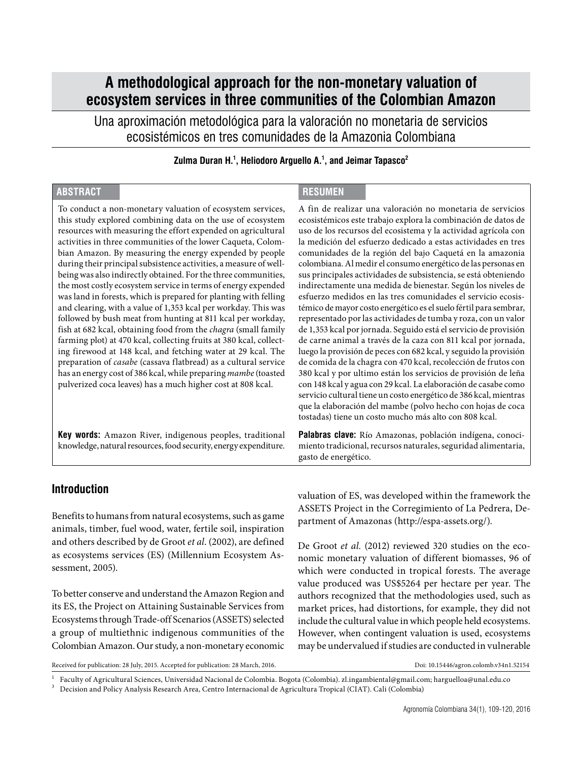# **A methodological approach for the non-monetary valuation of ecosystem services in three communities of the Colombian Amazon**

Una aproximación metodológica para la valoración no monetaria de servicios ecosistémicos en tres comunidades de la Amazonia Colombiana

**Zulma Duran H.1 , Heliodoro Arguello A.1 , and Jeimar Tapasco2**

### **ABSTRACT RESUMEN**

To conduct a non-monetary valuation of ecosystem services, this study explored combining data on the use of ecosystem resources with measuring the effort expended on agricultural activities in three communities of the lower Caqueta, Colombian Amazon. By measuring the energy expended by people during their principal subsistence activities, a measure of wellbeing was also indirectly obtained. For the three communities, the most costly ecosystem service in terms of energy expended was land in forests, which is prepared for planting with felling and clearing, with a value of 1,353 kcal per workday. This was followed by bush meat from hunting at 811 kcal per workday, fish at 682 kcal, obtaining food from the *chagra* (small family farming plot) at 470 kcal, collecting fruits at 380 kcal, collecting firewood at 148 kcal, and fetching water at 29 kcal. The preparation of *casabe* (cassava flatbread) as a cultural service has an energy cost of 386 kcal, while preparing *mambe* (toasted pulverized coca leaves) has a much higher cost at 808 kcal.

**Key words:** Amazon River, indigenous peoples, traditional knowledge, natural resources, food security, energy expenditure.

A fin de realizar una valoración no monetaria de servicios ecosistémicos este trabajo explora la combinación de datos de uso de los recursos del ecosistema y la actividad agrícola con la medición del esfuerzo dedicado a estas actividades en tres comunidades de la región del bajo Caquetá en la amazonia colombiana. Al medir el consumo energético de las personas en sus principales actividades de subsistencia, se está obteniendo indirectamente una medida de bienestar. Según los niveles de esfuerzo medidos en las tres comunidades el servicio ecosistémico de mayor costo energético es el suelo fértil para sembrar, representado por las actividades de tumba y roza, con un valor de 1,353 kcal por jornada. Seguido está el servicio de provisión de carne animal a través de la caza con 811 kcal por jornada, luego la provisión de peces con 682 kcal, y seguido la provisión de comida de la chagra con 470 kcal, recolección de frutos con 380 kcal y por ultimo están los servicios de provisión de leña con 148 kcal y agua con 29 kcal. La elaboración de casabe como servicio cultural tiene un costo energético de 386 kcal, mientras que la elaboración del mambe (polvo hecho con hojas de coca tostadas) tiene un costo mucho más alto con 808 kcal.

**Palabras clave:** Río Amazonas, población indígena, conocimiento tradicional, recursos naturales, seguridad alimentaria, gasto de energético.

#### **Introduction**

Benefits to humans from natural ecosystems, such as game animals, timber, fuel wood, water, fertile soil, inspiration and others described by de Groot *et al*. (2002), are defined as ecosystems services (ES) (Millennium Ecosystem Assessment, 2005).

To better conserve and understand the Amazon Region and its ES, the Project on Attaining Sustainable Services from Ecosystems through Trade-off Scenarios (ASSETS) selected a group of multiethnic indigenous communities of the Colombian Amazon. Our study, a non-monetary economic valuation of ES, was developed within the framework the ASSETS Project in the Corregimiento of La Pedrera, Department of Amazonas [\(http://espa-assets.org/](http://espa-assets.org/)).

De Groot *et al.* (2012) reviewed 320 studies on the economic monetary valuation of different biomasses, 96 of which were conducted in tropical forests. The average value produced was US\$5264 per hectare per year. The authors recognized that the methodologies used, such as market prices, had distortions, for example, they did not include the cultural value in which people held ecosystems. However, when contingent valuation is used, ecosystems may be undervalued if studies are conducted in vulnerable

Received for publication: 28 July, 2015. Accepted for publication: 28 March, 2016. Doi: [10.15446/agron.colomb.v34n1.52154](http://dx.doi.org/10.15446/agron.colomb.v34n1.52154)

Faculty of Agricultural Sciences, Universidad Nacional de Colombia. Bogota (Colombia). [zl.ingambiental@gmail.com](mailto:zl.ingambiental@gmail.com); harguelloa@unal.edu.co<br>Decision and Policy Analysis Research Area, Centro Internacional de Agricultura Tropi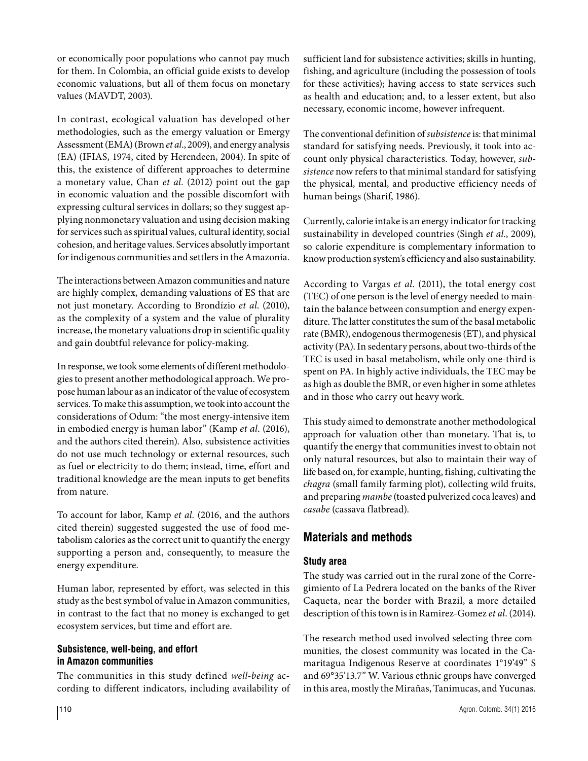or economically poor populations who cannot pay much for them. In Colombia, an official guide exists to develop economic valuations, but all of them focus on monetary values (MAVDT, 2003).

In contrast, ecological valuation has developed other methodologies, such as the emergy valuation or Emergy Assessment (EMA) (Brown *et al*., 2009), and energy analysis (EA) (IFIAS, 1974, cited by Herendeen, 2004). In spite of this, the existence of different approaches to determine a monetary value, Chan *et al.* (2012) point out the gap in economic valuation and the possible discomfort with expressing cultural services in dollars; so they suggest applying nonmonetary valuation and using decision making for services such as spiritual values, cultural identity, social cohesion, and heritage values. Services absolutly important for indigenous communities and settlers in the Amazonia.

The interactions between Amazon communities and nature are highly complex, demanding valuations of ES that are not just monetary. According to Brondízio *et al*. (2010), as the complexity of a system and the value of plurality increase, the monetary valuations drop in scientific quality and gain doubtful relevance for policy-making.

In response, we took some elements of different methodologies to present another methodological approach. We propose human labour as an indicator of the value of ecosystem services. To make this assumption, we took into account the considerations of Odum: "the most energy-intensive item in embodied energy is human labor" (Kamp *et al.* (2016), and the authors cited therein). Also, subsistence activities do not use much technology or external resources, such as fuel or electricity to do them; instead, time, effort and traditional knowledge are the mean inputs to get benefits from nature.

To account for labor, Kamp *et al.* (2016, and the authors cited therein) suggested suggested the use of food metabolism calories as the correct unit to quantify the energy supporting a person and, consequently, to measure the energy expenditure.

Human labor, represented by effort, was selected in this study as the best symbol of value in Amazon communities, in contrast to the fact that no money is exchanged to get ecosystem services, but time and effort are.

### **Subsistence, well-being, and effort in Amazon communities**

The communities in this study defined *well-being* according to different indicators, including availability of sufficient land for subsistence activities; skills in hunting, fishing, and agriculture (including the possession of tools for these activities); having access to state services such as health and education; and, to a lesser extent, but also necessary, economic income, however infrequent.

The conventional definition of *subsistence* is: that minimal standard for satisfying needs. Previously, it took into account only physical characteristics. Today, however, *subsistence* now refers to that minimal standard for satisfying the physical, mental, and productive efficiency needs of human beings (Sharif, 1986).

Currently, calorie intake is an energy indicator for tracking sustainability in developed countries (Singh *et al*., 2009), so calorie expenditure is complementary information to know production system's efficiency and also sustainability.

According to Vargas *et al*. (2011), the total energy cost (TEC) of one person is the level of energy needed to maintain the balance between consumption and energy expenditure. The latter constitutes the sum of the basal metabolic rate (BMR), endogenous thermogenesis (ET), and physical activity (PA). In sedentary persons, about two-thirds of the TEC is used in basal metabolism, while only one-third is spent on PA. In highly active individuals, the TEC may be as high as double the BMR, or even higher in some athletes and in those who carry out heavy work.

This study aimed to demonstrate another methodological approach for valuation other than monetary. That is, to quantify the energy that communities invest to obtain not only natural resources, but also to maintain their way of life based on, for example, hunting, fishing, cultivating the *chagra* (small family farming plot), collecting wild fruits, and preparing *mambe* (toasted pulverized coca leaves) and *casabe* (cassava flatbread).

# **Materials and methods**

# **Study area**

The study was carried out in the rural zone of the Corregimiento of La Pedrera located on the banks of the River Caqueta, near the border with Brazil, a more detailed description of this town is in Ramirez-Gomez *et al*. (2014).

The research method used involved selecting three communities, the closest community was located in the Camaritagua Indigenous Reserve at coordinates 1°19'49" S and 69°35'13.7" W. Various ethnic groups have converged in this area, mostly the Mirañas, Tanimucas, and Yucunas.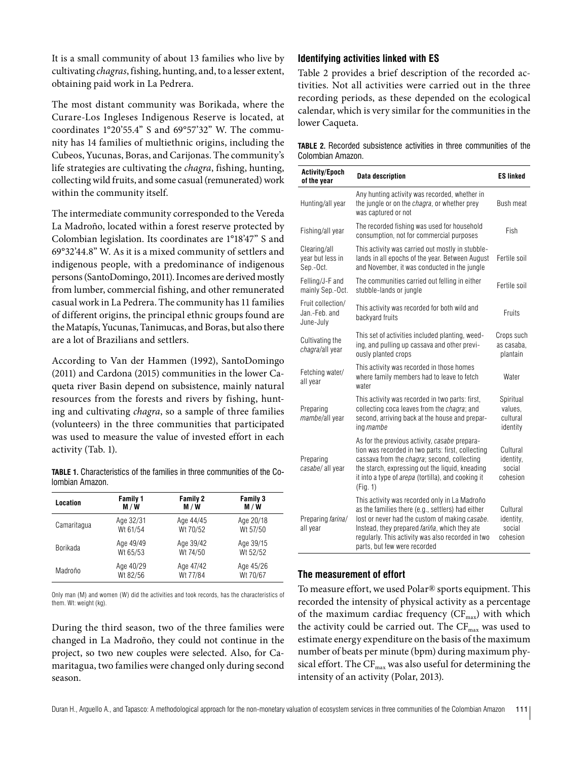It is a small community of about 13 families who live by cultivating *chagras*, fishing, hunting, and, to a lesser extent, obtaining paid work in La Pedrera.

The most distant community was Borikada, where the Curare-Los Ingleses Indigenous Reserve is located, at coordinates 1°20'55.4" S and 69°57'32" W. The community has 14 families of multiethnic origins, including the Cubeos, Yucunas, Boras, and Carijonas. The community's life strategies are cultivating the *chagra*, fishing, hunting, collecting wild fruits, and some casual (remunerated) work within the community itself.

The intermediate community corresponded to the Vereda La Madroño, located within a forest reserve protected by Colombian legislation. Its coordinates are 1°18'47" S and 69°32'44.8" W. As it is a mixed community of settlers and indigenous people, with a predominance of indigenous persons (SantoDomingo, 2011). Incomes are derived mostly from lumber, commercial fishing, and other remunerated casual work in La Pedrera. The community has 11 families of different origins, the principal ethnic groups found are the Matapís, Yucunas, Tanimucas, and Boras, but also there are a lot of Brazilians and settlers.

According to Van der Hammen (1992), SantoDomingo (2011) and Cardona (2015) communities in the lower Caqueta river Basin depend on subsistence, mainly natural resources from the forests and rivers by fishing, hunting and cultivating *chagra*, so a sample of three families (volunteers) in the three communities that participated was used to measure the value of invested effort in each activity (Tab. 1).

**TABLE 1.** Characteristics of the families in three communities of the Colombian Amazon.

| Location    | <b>Family 1</b> | <b>Family 2</b> | <b>Family 3</b> |
|-------------|-----------------|-----------------|-----------------|
|             | M / W           | M/W             | M / W           |
| Camaritagua | Age 32/31       | Age 44/45       | Age 20/18       |
|             | Wt 61/54        | Wt 70/52        | Wt 57/50        |
| Borikada    | Age 49/49       | Age 39/42       | Age 39/15       |
|             | Wt 65/53        | Wt 74/50        | Wt 52/52        |
| Madroño     | Age 40/29       | Age 47/42       | Age 45/26       |
|             | Wt 82/56        | Wt 77/84        | Wt 70/67        |

Only man (M) and women (W) did the activities and took records, has the characteristics of them. Wt: weight (kg).

During the third season, two of the three families were changed in La Madroño, they could not continue in the project, so two new couples were selected. Also, for Camaritagua, two families were changed only during second season.

#### **Identifying activities linked with ES**

Table 2 provides a brief description of the recorded activities. Not all activities were carried out in the three recording periods, as these depended on the ecological calendar, which is very similar for the communities in the lower Caqueta.

|                   |  |  | <b>TABLE 2.</b> Recorded subsistence activities in three communities of the |  |
|-------------------|--|--|-----------------------------------------------------------------------------|--|
| Colombian Amazon. |  |  |                                                                             |  |

| <b>Activity/Epoch</b><br>of the year            | <b>Data description</b>                                                                                                                                                                                                                                                                            | <b>ES linked</b>                             |
|-------------------------------------------------|----------------------------------------------------------------------------------------------------------------------------------------------------------------------------------------------------------------------------------------------------------------------------------------------------|----------------------------------------------|
| Hunting/all year                                | Any hunting activity was recorded, whether in<br>the jungle or on the chagra, or whether prey<br>was captured or not                                                                                                                                                                               | Bush meat                                    |
| Fishing/all year                                | The recorded fishing was used for household<br>consumption, not for commercial purposes                                                                                                                                                                                                            | Fish                                         |
| Clearing/all<br>year but less in<br>Sep.-Oct.   | This activity was carried out mostly in stubble-<br>lands in all epochs of the year. Between August<br>and November, it was conducted in the jungle                                                                                                                                                | Fertile soil                                 |
| Felling/J-F and<br>mainly Sep.-Oct.             | The communities carried out felling in either<br>stubble-lands or jungle                                                                                                                                                                                                                           | Fertile soil                                 |
| Fruit collection/<br>Jan.-Feb. and<br>June-July | This activity was recorded for both wild and<br>backyard fruits                                                                                                                                                                                                                                    | Fruits                                       |
| Cultivating the<br>chagra/all year              | This set of activities included planting, weed-<br>ing, and pulling up cassava and other previ-<br>ously planted crops                                                                                                                                                                             | Crops such<br>as casaba,<br>plantain         |
| Fetching water/<br>all year                     | This activity was recorded in those homes<br>where family members had to leave to fetch<br>water                                                                                                                                                                                                   | Water                                        |
| Preparing<br>mambe/all year                     | This activity was recorded in two parts: first,<br>collecting coca leaves from the chagra; and<br>second, arriving back at the house and prepar-<br>ing mambe                                                                                                                                      | Spiritual<br>values,<br>cultural<br>identity |
| Preparing<br>casabe/all year                    | As for the previous activity, casabe prepara-<br>tion was recorded in two parts: first, collecting<br>cassava from the <i>chagra</i> ; second, collecting<br>the starch, expressing out the liquid, kneading<br>it into a type of <i>arepa</i> (tortilla), and cooking it<br>(Fiq. 1)              | Cultural<br>identity,<br>social<br>cohesion  |
| Preparing farina/<br>all year                   | This activity was recorded only in La Madroño<br>as the families there (e.g., settlers) had either<br>lost or never had the custom of making casabe.<br>Instead, they prepared <i>fariña</i> , which they ate<br>regularly. This activity was also recorded in two<br>parts, but few were recorded | Cultural<br>identity,<br>social<br>cohesion  |

#### **The measurement of effort**

To measure effort, we used Polar® sports equipment. This recorded the intensity of physical activity as a percentage of the maximum cardiac frequency  $(CF_{max})$  with which the activity could be carried out. The  $CF_{\text{max}}$  was used to estimate energy expenditure on the basis of the maximum number of beats per minute (bpm) during maximum physical effort. The  $\mathrm{CF}_{\mathrm{max}}$  was also useful for determining the intensity of an activity (Polar, 2013).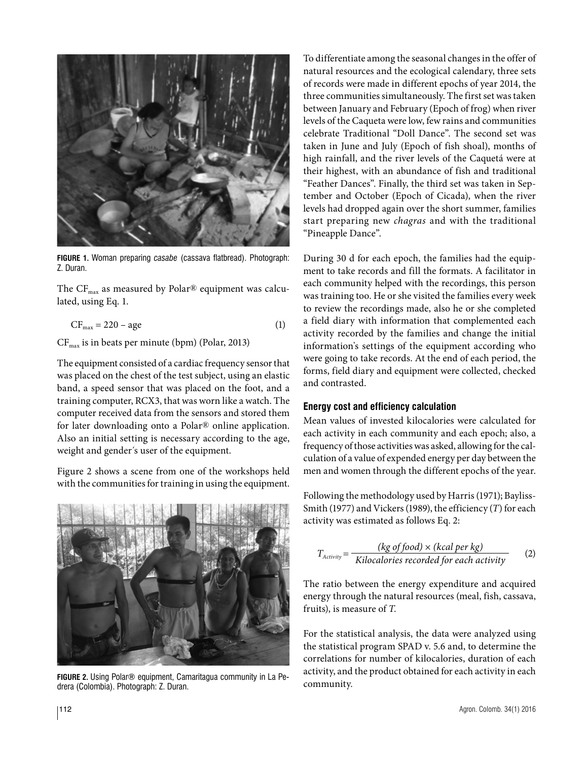

**FIGURE 1.** Woman preparing *casabe* (cassava flatbread). Photograph: Z. Duran.

The  $CF_{\text{max}}$  as measured by Polar® equipment was calculated, using Eq. 1.

$$
CF_{\text{max}} = 220 - \text{age} \tag{1}
$$

CFmax is in beats per minute (bpm) (Polar, 2013)

The equipment consisted of a cardiac frequency sensor that was placed on the chest of the test subject, using an elastic band, a speed sensor that was placed on the foot, and a training computer, RCX3, that was worn like a watch. The computer received data from the sensors and stored them for later downloading onto a Polar® online application. Also an initial setting is necessary according to the age, weight and gender´s user of the equipment.

Figure 2 shows a scene from one of the workshops held with the communities for training in using the equipment.



**FIGURE 2.** Using Polar® equipment, Camaritagua community in La Pedrera (Colombia). Photograph: Z. Duran.

To differentiate among the seasonal changes in the offer of natural resources and the ecological calendary, three sets of records were made in different epochs of year 2014, the three communities simultaneously. The first set was taken between January and February (Epoch of frog) when river levels of the Caqueta were low, few rains and communities celebrate Traditional "Doll Dance". The second set was taken in June and July (Epoch of fish shoal), months of high rainfall, and the river levels of the Caquetá were at their highest, with an abundance of fish and traditional "Feather Dances". Finally, the third set was taken in September and October (Epoch of Cicada), when the river levels had dropped again over the short summer, families start preparing new *chagras* and with the traditional "Pineapple Dance".

During 30 d for each epoch, the families had the equipment to take records and fill the formats. A facilitator in each community helped with the recordings, this person was training too. He or she visited the families every week to review the recordings made, also he or she completed a field diary with information that complemented each activity recorded by the families and change the initial information's settings of the equipment according who were going to take records. At the end of each period, the forms, field diary and equipment were collected, checked and contrasted.

#### **Energy cost and efficiency calculation**

Mean values of invested kilocalories were calculated for each activity in each community and each epoch; also, a frequency of those activities was asked, allowing for the calculation of a value of expended energy per day between the men and women through the different epochs of the year.

Following the methodology used by Harris (1971); Bayliss-Smith (1977) and Vickers (1989), the efficiency (*T*) for each activity was estimated as follows Eq. 2:

$$
T_{Activity} = \frac{(kg \ of \ food) \times (kcal \ per \ kg)}{Kilocalories recorded for each activity}
$$
 (2)

The ratio between the energy expenditure and acquired energy through the natural resources (meal, fish, cassava, fruits), is measure of *T*.

For the statistical analysis, the data were analyzed using the statistical program SPAD v. 5.6 and, to determine the correlations for number of kilocalories, duration of each activity, and the product obtained for each activity in each community.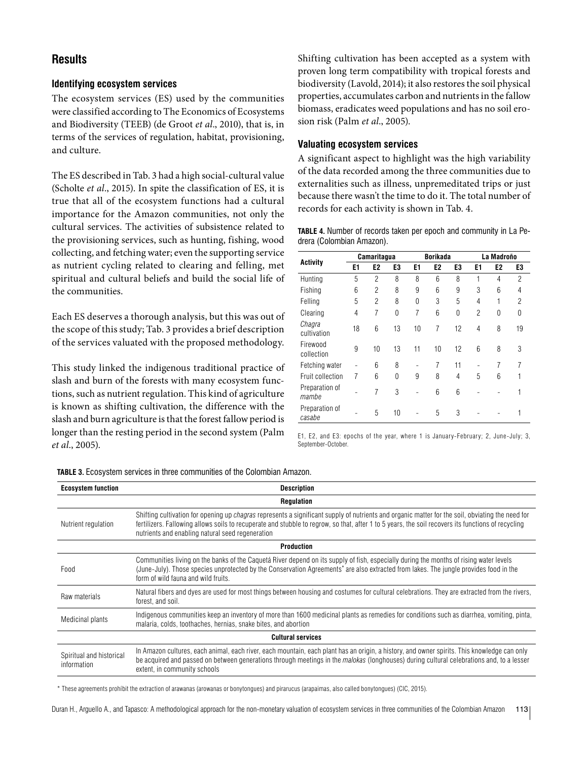# **Results**

#### **Identifying ecosystem services**

The ecosystem services (ES) used by the communities were classified according to The Economics of Ecosystems and Biodiversity (TEEB) (de Groot *et al*., 2010), that is, in terms of the services of regulation, habitat, provisioning, and culture.

The ES described in Tab. 3 had a high social-cultural value (Scholte *et al*., 2015). In spite the classification of ES, it is true that all of the ecosystem functions had a cultural importance for the Amazon communities, not only the cultural services. The activities of subsistence related to the provisioning services, such as hunting, fishing, wood collecting, and fetching water; even the supporting service as nutrient cycling related to clearing and felling, met spiritual and cultural beliefs and build the social life of the communities.

Each ES deserves a thorough analysis, but this was out of the scope of this study; Tab. 3 provides a brief description of the services valuated with the proposed methodology.

This study linked the indigenous traditional practice of slash and burn of the forests with many ecosystem functions, such as nutrient regulation. This kind of agriculture is known as shifting cultivation, the difference with the slash and burn agriculture is that the forest fallow period is longer than the resting period in the second system (Palm *et al*., 2005).

Shifting cultivation has been accepted as a system with proven long term compatibility with tropical forests and biodiversity (Lavold, 2014); it also restores the soil physical properties, accumulates carbon and nutrients in the fallow biomass, eradicates weed populations and has no soil erosion risk (Palm *et al*., 2005).

#### **Valuating ecosystem services**

A significant aspect to highlight was the high variability of the data recorded among the three communities due to externalities such as illness, unpremeditated trips or just because there wasn't the time to do it. The total number of records for each activity is shown in Tab. 4.

**TABLE 4.** Number of records taken per epoch and community in La Pedrera (Colombian Amazon).

| <b>Activity</b>          | Camaritagua |                |          |    | <b>Borikada</b> |                | La Madroño     |    |                |
|--------------------------|-------------|----------------|----------|----|-----------------|----------------|----------------|----|----------------|
|                          | E1          | E2             | E3       | E1 | E <sub>2</sub>  | E3             | E1             | E2 | E3             |
| Hunting                  | 5           | $\mathfrak{p}$ | 8        | 8  | 6               | 8              | 1              | 4  | $\mathfrak{p}$ |
| Fishing                  | 6           | $\mathfrak{p}$ | 8        | 9  | 6               | 9              | 3              | 6  | $\overline{4}$ |
| Felling                  | 5           | 2              | 8        | 0  | 3               | 5              | $\overline{4}$ | 1  | $\overline{c}$ |
| Clearing                 | 4           | 7              | $\Omega$ | 7  | 6               | $\Omega$       | 2              | 0  | 0              |
| Chagra<br>cultivation    | 18          | 6              | 13       | 10 | 7               | 12             | $\overline{4}$ | 8  | 19             |
| Firewood<br>collection   | 9           | 10             | 13       | 11 | 10              | 12             | 6              | 8  | 3              |
| Fetching water           |             | 6              | 8        |    | 7               | 11             |                | 7  | 7              |
| Fruit collection         | 7           | 6              | $\Omega$ | 9  | 8               | $\overline{4}$ | 5              | 6  |                |
| Preparation of<br>mambe  |             | 7              | 3        |    | 6               | 6              |                |    |                |
| Preparation of<br>casabe |             | 5              | 10       |    | 5               | 3              |                |    | 1              |

E1, E2, and E3: epochs of the year, where 1 is January-February; 2, June-July; 3, September-October.

| <b>Ecosystem function</b>               | <b>Description</b>                                                                                                                                                                                                                                                                                                                                                |  |  |  |  |  |  |
|-----------------------------------------|-------------------------------------------------------------------------------------------------------------------------------------------------------------------------------------------------------------------------------------------------------------------------------------------------------------------------------------------------------------------|--|--|--|--|--|--|
|                                         | <b>Regulation</b>                                                                                                                                                                                                                                                                                                                                                 |  |  |  |  |  |  |
| Nutrient regulation                     | Shifting cultivation for opening up <i>chagras</i> represents a significant supply of nutrients and organic matter for the soil, obviating the need for<br>fertilizers. Fallowing allows soils to recuperate and stubble to regrow, so that, after 1 to 5 years, the soil recovers its functions of recycling<br>nutrients and enabling natural seed regeneration |  |  |  |  |  |  |
|                                         | <b>Production</b>                                                                                                                                                                                                                                                                                                                                                 |  |  |  |  |  |  |
| Food                                    | Communities living on the banks of the Caquetá River depend on its supply of fish, especially during the months of rising water levels<br>(June-July). Those species unprotected by the Conservation Agreements <sup>*</sup> are also extracted from lakes. The jungle provides food in the<br>form of wild fauna and wild fruits.                                |  |  |  |  |  |  |
| Raw materials                           | Natural fibers and dyes are used for most things between housing and costumes for cultural celebrations. They are extracted from the rivers,<br>forest, and soil.                                                                                                                                                                                                 |  |  |  |  |  |  |
| Medicinal plants                        | Indigenous communities keep an inventory of more than 1600 medicinal plants as remedies for conditions such as diarrhea, vomiting, pinta,<br>malaria, colds, toothaches, hernias, snake bites, and abortion                                                                                                                                                       |  |  |  |  |  |  |
|                                         | <b>Cultural services</b>                                                                                                                                                                                                                                                                                                                                          |  |  |  |  |  |  |
| Spiritual and historical<br>information | In Amazon cultures, each animal, each river, each mountain, each plant has an origin, a history, and owner spirits. This knowledge can only<br>be acquired and passed on between generations through meetings in the malokas (longhouses) during cultural celebrations and, to a lesser<br>extent, in community schools                                           |  |  |  |  |  |  |

**TABLE 3.** Ecosystem services in three communities of the Colombian Amazon.

\* These agreements prohíbit the extraction of arawanas (arowanas or bonytongues) and pirarucus (arapaimas, also called bonytongues) (CIC, 2015).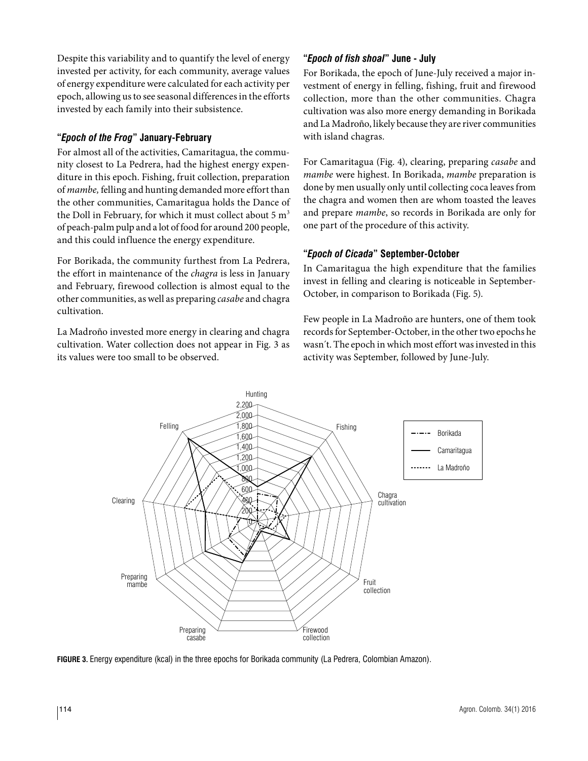Despite this variability and to quantify the level of energy invested per activity, for each community, average values of energy expenditure were calculated for each activity per epoch, allowing us to see seasonal differences in the efforts invested by each family into their subsistence.

## **"***Epoch of the Frog***" January-February**

For almost all of the activities, Camaritagua, the community closest to La Pedrera, had the highest energy expenditure in this epoch. Fishing, fruit collection, preparation of *mambe,* felling and hunting demanded more effort than the other communities, Camaritagua holds the Dance of the Doll in February, for which it must collect about 5  $m<sup>3</sup>$ of peach-palm pulp and a lot of food for around 200 people, and this could influence the energy expenditure.

For Borikada, the community furthest from La Pedrera, the effort in maintenance of the *chagra* is less in January and February, firewood collection is almost equal to the other communities, as well as preparing *casabe* and chagra cultivation.

La Madroño invested more energy in clearing and chagra cultivation. Water collection does not appear in Fig. 3 as its values were too small to be observed.

## **"***Epoch of fish shoal***" June - July**

For Borikada, the epoch of June-July received a major investment of energy in felling, fishing, fruit and firewood collection, more than the other communities. Chagra cultivation was also more energy demanding in Borikada and La Madroño, likely because they are river communities with island chagras.

For Camaritagua (Fig. 4), clearing, preparing *casabe* and *mambe* were highest. In Borikada, *mambe* preparation is done by men usually only until collecting coca leaves from the chagra and women then are whom toasted the leaves and prepare *mambe*, so records in Borikada are only for one part of the procedure of this activity.

#### **"***Epoch of Cicada***" September-October**

In Camaritagua the high expenditure that the families invest in felling and clearing is noticeable in September-October, in comparison to Borikada (Fig. 5).

Few people in La Madroño are hunters, one of them took records for September-October, in the other two epochs he wasn´t. The epoch in which most effort was invested in this activity was September, followed by June-July.



**FIGURE 3.** Energy expenditure (kcal) in the three epochs for Borikada community (La Pedrera, Colombian Amazon).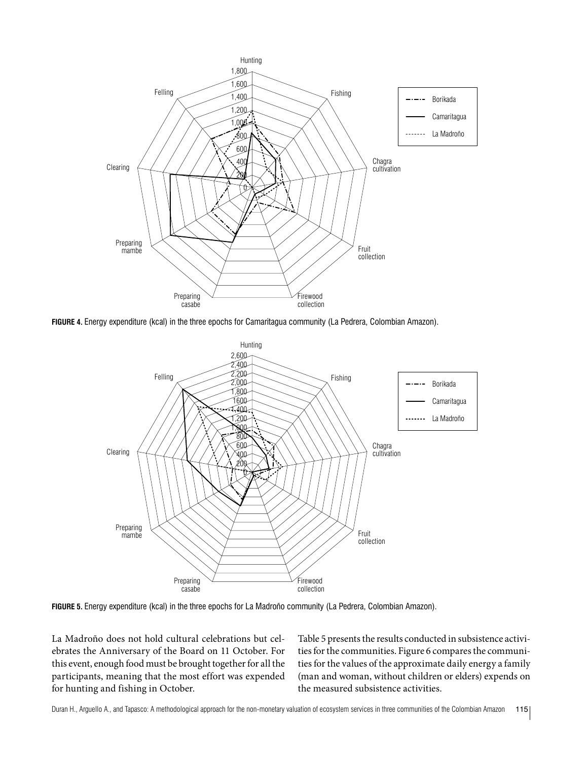

**FIGURE 4.** Energy expenditure (kcal) in the three epochs for Camaritagua community (La Pedrera, Colombian Amazon).



**FIGURE 5.** Energy expenditure (kcal) in the three epochs for La Madroño community (La Pedrera, Colombian Amazon).

La Madroño does not hold cultural celebrations but celebrates the Anniversary of the Board on 11 October. For this event, enough food must be brought together for all the participants, meaning that the most effort was expended for hunting and fishing in October.

Table 5 presents the results conducted in subsistence activities for the communities. Figure 6 compares the communities for the values of the approximate daily energy a family (man and woman, without children or elders) expends on the measured subsistence activities.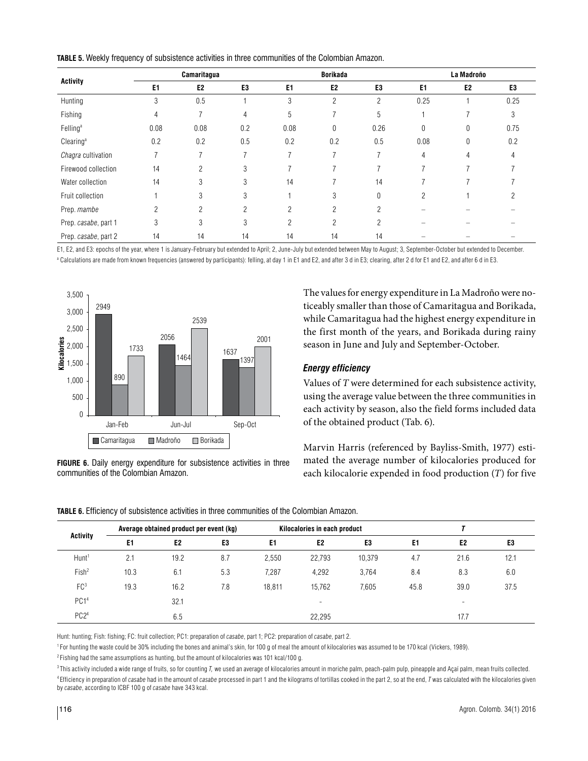**TABLE 5.** Weekly frequency of subsistence activities in three communities of the Colombian Amazon.

| <b>Activity</b>       | Camaritagua              |                |                |                | <b>Borikada</b> |      | La Madroño     |                |      |
|-----------------------|--------------------------|----------------|----------------|----------------|-----------------|------|----------------|----------------|------|
|                       | E <sub>1</sub>           | E <sub>2</sub> | E <sub>3</sub> | E1             | E <sub>2</sub>  | E3   | E1             | E <sub>2</sub> | E3   |
| Hunting               | 3                        | 0.5            |                | 3              | $\overline{c}$  | 2    | 0.25           |                | 0.25 |
| Fishing               | 4                        | $\overline{7}$ | 4              | 5              |                 | 5    |                |                | 3    |
| Felling <sup>a</sup>  | 0.08                     | 0.08           | 0.2            | 0.08           | 0               | 0.26 | 0              | 0              | 0.75 |
| Clearing <sup>a</sup> | 0.2                      | 0.2            | 0.5            | 0.2            | 0.2             | 0.5  | 0.08           | 0              | 0.2  |
| Chagra cultivation    |                          | ∍              |                | 7              |                 |      | $\overline{4}$ | 4              | 4    |
| Firewood collection   | 14                       | 2              | 3              |                |                 |      |                |                |      |
| Water collection      | 14                       | 3              | 3              | 14             |                 | 14   |                |                |      |
| Fruit collection      |                          | 3              | 3              |                | 3               | 0    | 2              |                |      |
| Prep. mambe           | $\overline{\phantom{a}}$ | 2              | 2              | $\mathcal{P}$  | $\mathfrak{p}$  | 2    |                |                |      |
| Prep. casabe, part 1  | 3                        | 3              | 3              | $\mathfrak{p}$ | $\mathfrak{p}$  | 2    |                |                |      |
| Prep. casabe, part 2  | 14                       | 14             | 14             | 14             | 14              | 14   |                |                |      |

E1, E2, and E3: epochs of the year, where 1 is January-February but extended to April; 2, June-July but extended between May to August; 3, September-October but extended to December. <sup>a</sup> Calculations are made from known frequencies (answered by participants): felling, at day 1 in E1 and E2, and after 3 d in E3; clearing, after 2 d for E1 and E2, and after 6 d in E3.



**FIGURE 6.** Daily energy expenditure for subsistence activities in three communities of the Colombian Amazon.

The values for energy expenditure in La Madroño were noticeably smaller than those of Camaritagua and Borikada, while Camaritagua had the highest energy expenditure in the first month of the years, and Borikada during rainy season in June and July and September-October.

#### *Energy efficiency*

Values of *T* were determined for each subsistence activity, using the average value between the three communities in each activity by season, also the field forms included data of the obtained product (Tab. 6).

Marvin Harris (referenced by Bayliss-Smith, 1977) estimated the average number of kilocalories produced for each kilocalorie expended in food production (*T*) for five

| <b>Activity</b>   |      | Average obtained product per event (kg) |                |        | Kilocalories in each product |                |      |                          |      |
|-------------------|------|-----------------------------------------|----------------|--------|------------------------------|----------------|------|--------------------------|------|
|                   | E1   | E <sub>2</sub>                          | E <sub>3</sub> | E1     | E <sub>2</sub>               | E <sub>3</sub> | E1   | E <sub>2</sub>           | E3   |
| Hunt <sup>1</sup> | 2.1  | 19.2                                    | 8.7            | 2.550  | 22,793                       | 10,379         | 4.7  | 21.6                     | 12.1 |
| Fish <sup>2</sup> | 10.3 | 6.1                                     | 5.3            | 7,287  | 4,292                        | 3.764          | 8.4  | 8.3                      | 6.0  |
| FC <sup>3</sup>   | 19.3 | 16.2                                    | 7.8            | 18.811 | 15.762                       | 7,605          | 45.8 | 39.0                     | 37.5 |
| PC1 <sup>4</sup>  |      | 32.1                                    |                |        | $\overline{\phantom{a}}$     |                |      | $\overline{\phantom{a}}$ |      |
| PC <sub>24</sub>  |      | 6.5                                     |                |        | 22,295                       |                |      | 17.7                     |      |

**TABLE 6.** Efficiency of subsistence activities in three communities of the Colombian Amazon.

Hunt: hunting; Fish: fishing; FC: fruit collection; PC1: preparation of *casabe*, part 1; PC2: preparation of *casabe*, part 2.

1 For hunting the waste could be 30% including the bones and animal's skin, for 100 g of meal the amount of kilocalories was assumed to be 170 kcal (Vickers, 1989).

 $2$  Fishing had the same assumptions as hunting, but the amount of kilocalories was 101 kcal/100 g.

<sup>3</sup>This activity included a wide range of fruits, so for counting *T*, we used an average of kilocalories amount in moriche palm, peach-palm pulp, pineapple and Açaí palm, mean fruits collected. 4 Efficiency in preparation of *casabe* had in the amount of *casabe* processed in part 1 and the kilograms of tortillas cooked in the part 2, so at the end, *T* was calculated with the kilocalories given by *casabe*, according to ICBF 100 g of *casabe* have 343 kcal.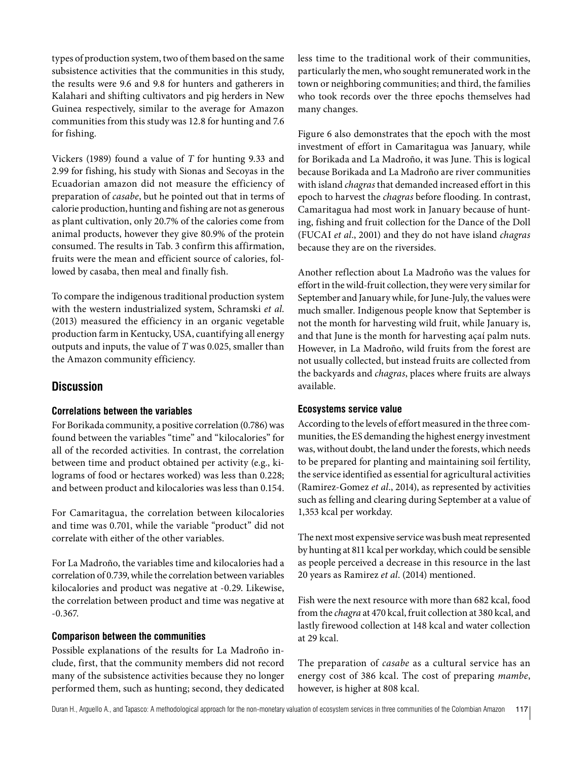types of production system, two of them based on the same subsistence activities that the communities in this study, the results were 9.6 and 9.8 for hunters and gatherers in Kalahari and shifting cultivators and pig herders in New Guinea respectively, similar to the average for Amazon communities from this study was 12.8 for hunting and 7.6 for fishing.

Vickers (1989) found a value of *T* for hunting 9.33 and 2.99 for fishing, his study with Sionas and Secoyas in the Ecuadorian amazon did not measure the efficiency of preparation of *casabe*, but he pointed out that in terms of calorie production, hunting and fishing are not as generous as plant cultivation, only 20.7% of the calories come from animal products, however they give 80.9% of the protein consumed. The results in Tab. 3 confirm this affirmation, fruits were the mean and efficient source of calories, followed by casaba, then meal and finally fish.

To compare the indigenous traditional production system with the western industrialized system, Schramski *et al*. (2013) measured the efficiency in an organic vegetable production farm in Kentucky, USA, cuantifying all energy outputs and inputs, the value of *T* was 0.025, smaller than the Amazon community efficiency.

# **Discussion**

#### **Correlations between the variables**

For Borikada community, a positive correlation (0.786) was found between the variables "time" and "kilocalories" for all of the recorded activities*.* In contrast, the correlation between time and product obtained per activity (e.g., kilograms of food or hectares worked) was less than 0.228; and between product and kilocalories was less than 0.154.

For Camaritagua, the correlation between kilocalories and time was 0.701, while the variable "product" did not correlate with either of the other variables.

For La Madroño, the variables time and kilocalories had a correlation of 0.739, while the correlation between variables kilocalories and product was negative at -0.29. Likewise, the correlation between product and time was negative at -0.367.

#### **Comparison between the communities**

Possible explanations of the results for La Madroño include, first, that the community members did not record many of the subsistence activities because they no longer performed them, such as hunting; second, they dedicated less time to the traditional work of their communities, particularly the men, who sought remunerated work in the town or neighboring communities; and third, the families who took records over the three epochs themselves had many changes.

Figure 6 also demonstrates that the epoch with the most investment of effort in Camaritagua was January, while for Borikada and La Madroño, it was June. This is logical because Borikada and La Madroño are river communities with island *chagras* that demanded increased effort in this epoch to harvest the *chagras* before flooding. In contrast, Camaritagua had most work in January because of hunting, fishing and fruit collection for the Dance of the Doll (FUCAI *et al*., 2001) and they do not have island *chagras* because they are on the riversides.

Another reflection about La Madroño was the values for effort in the wild-fruit collection, they were very similar for September and January while, for June-July, the values were much smaller. Indigenous people know that September is not the month for harvesting wild fruit, while January is, and that June is the month for harvesting açaí palm nuts. However, in La Madroño, wild fruits from the forest are not usually collected, but instead fruits are collected from the backyards and *chagras*, places where fruits are always available.

#### **Ecosystems service value**

According to the levels of effort measured in the three communities, the ES demanding the highest energy investment was, without doubt, the land under the forests, which needs to be prepared for planting and maintaining soil fertility, the service identified as essential for agricultural activities (Ramirez-Gomez *et al*., 2014), as represented by activities such as felling and clearing during September at a value of 1,353 kcal per workday.

The next most expensive service was bush meat represented by hunting at 811 kcal per workday, which could be sensible as people perceived a decrease in this resource in the last 20 years as Ramirez *et al*. (2014) mentioned.

Fish were the next resource with more than 682 kcal, food from the *chagra* at 470 kcal, fruit collection at 380 kcal, and lastly firewood collection at 148 kcal and water collection at 29 kcal.

The preparation of *casabe* as a cultural service has an energy cost of 386 kcal. The cost of preparing *mambe*, however, is higher at 808 kcal.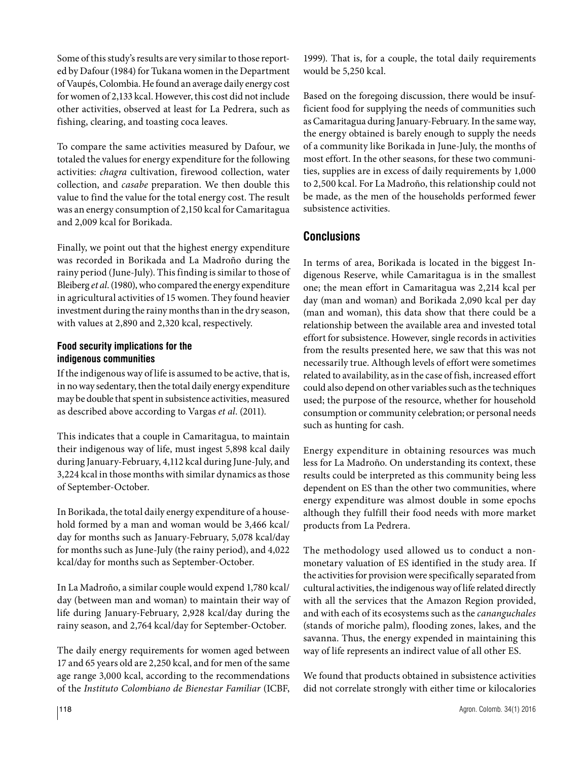Some of this study's results are very similar to those reported by Dafour (1984) for Tukana women in the Department of Vaupés, Colombia. He found an average daily energy cost for women of 2,133 kcal. However, this cost did not include other activities, observed at least for La Pedrera, such as fishing, clearing, and toasting coca leaves.

To compare the same activities measured by Dafour, we totaled the values for energy expenditure for the following activities: *chagra* cultivation, firewood collection, water collection, and *casabe* preparation. We then double this value to find the value for the total energy cost. The result was an energy consumption of 2,150 kcal for Camaritagua and 2,009 kcal for Borikada.

Finally, we point out that the highest energy expenditure was recorded in Borikada and La Madroño during the rainy period (June-July). This finding is similar to those of Bleiberg *et al*. (1980), who compared the energy expenditure in agricultural activities of 15 women. They found heavier investment during the rainy months than in the dry season, with values at 2,890 and 2,320 kcal, respectively.

#### **Food security implications for the indigenous communities**

If the indigenous way of life is assumed to be active, that is, in no way sedentary, then the total daily energy expenditure may be double that spent in subsistence activities, measured as described above according to Vargas *et al*. (2011).

This indicates that a couple in Camaritagua, to maintain their indigenous way of life, must ingest 5,898 kcal daily during January-February, 4,112 kcal during June-July, and 3,224 kcal in those months with similar dynamics as those of September-October.

In Borikada, the total daily energy expenditure of a household formed by a man and woman would be 3,466 kcal/ day for months such as January-February, 5,078 kcal/day for months such as June-July (the rainy period), and 4,022 kcal/day for months such as September-October.

In La Madroño, a similar couple would expend 1,780 kcal/ day (between man and woman) to maintain their way of life during January-February, 2,928 kcal/day during the rainy season, and 2,764 kcal/day for September-October.

The daily energy requirements for women aged between 17 and 65 years old are 2,250 kcal, and for men of the same age range 3,000 kcal, according to the recommendations of the *Instituto Colombiano de Bienestar Familiar* (ICBF, 1999). That is, for a couple, the total daily requirements would be 5,250 kcal.

Based on the foregoing discussion, there would be insufficient food for supplying the needs of communities such as Camaritagua during January-February. In the same way, the energy obtained is barely enough to supply the needs of a community like Borikada in June-July, the months of most effort. In the other seasons, for these two communities, supplies are in excess of daily requirements by 1,000 to 2,500 kcal. For La Madroño, this relationship could not be made, as the men of the households performed fewer subsistence activities.

# **Conclusions**

In terms of area, Borikada is located in the biggest Indigenous Reserve, while Camaritagua is in the smallest one; the mean effort in Camaritagua was 2,214 kcal per day (man and woman) and Borikada 2,090 kcal per day (man and woman), this data show that there could be a relationship between the available area and invested total effort for subsistence. However, single records in activities from the results presented here, we saw that this was not necessarily true. Although levels of effort were sometimes related to availability, as in the case of fish, increased effort could also depend on other variables such as the techniques used; the purpose of the resource, whether for household consumption or community celebration; or personal needs such as hunting for cash.

Energy expenditure in obtaining resources was much less for La Madroño. On understanding its context, these results could be interpreted as this community being less dependent on ES than the other two communities, where energy expenditure was almost double in some epochs although they fulfill their food needs with more market products from La Pedrera.

The methodology used allowed us to conduct a nonmonetary valuation of ES identified in the study area. If the activities for provision were specifically separated from cultural activities, the indigenous way of life related directly with all the services that the Amazon Region provided, and with each of its ecosystems such as the *cananguchales* (stands of moriche palm), flooding zones, lakes, and the savanna. Thus, the energy expended in maintaining this way of life represents an indirect value of all other ES.

We found that products obtained in subsistence activities did not correlate strongly with either time or kilocalories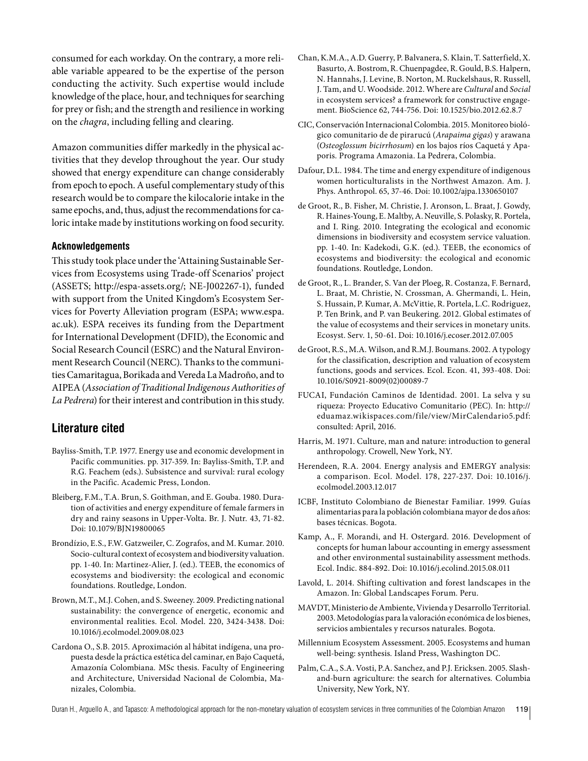consumed for each workday. On the contrary, a more reliable variable appeared to be the expertise of the person conducting the activity. Such expertise would include knowledge of the place, hour, and techniques for searching for prey or fish; and the strength and resilience in working on the *chagra*, including felling and clearing.

Amazon communities differ markedly in the physical activities that they develop throughout the year. Our study showed that energy expenditure can change considerably from epoch to epoch. A useful complementary study of this research would be to compare the kilocalorie intake in the same epochs, and, thus, adjust the recommendations for caloric intake made by institutions working on food security.

#### **Acknowledgements**

This study took place under the 'Attaining Sustainable Services from Ecosystems using Trade-off Scenarios' project (ASSETS; <http://espa-assets.org/>; NE-J002267-1), funded with support from the United Kingdom's Ecosystem Services for Poverty Alleviation program (ESPA; [www.espa.](http://www.espa.ac.uk) [ac.uk](http://www.espa.ac.uk)). ESPA receives its funding from the Department for International Development (DFID), the Economic and Social Research Council (ESRC) and the Natural Environment Research Council (NERC). Thanks to the communities Camaritagua, Borikada and Vereda La Madroño, and to AIPEA (*Association of Traditional Indigenous Authorities of La Pedrera*) for their interest and contribution in this study.

#### **Literature cited**

- Bayliss-Smith, T.P. 1977. Energy use and economic development in Pacific communities. pp. 317-359. In: Bayliss-Smith, T.P. and R.G. Feachem (eds.). Subsistence and survival: rural ecology in the Pacific. Academic Press, London.
- Bleiberg, F.M., T.A. Brun, S. Goithman, and E. Gouba. 1980. Duration of activities and energy expenditure of female farmers in dry and rainy seasons in Upper-Volta. Br. J. Nutr*.* 43, 71-82. Doi: [10.1079/BJN19800065](http://dx.doi.org/10.1079/BJN19800065)
- Brondízio, E.S., F.W. Gatzweiler, C. Zografos, and M. Kumar. 2010. Socio-cultural context of ecosystem and biodiversity valuation. pp. 1-40. In: Martinez-Alier, J. (ed.). TEEB, the economics of ecosystems and biodiversity: the ecological and economic foundations. Routledge, London.
- Brown, M.T., M.J. Cohen, and S. Sweeney. 2009. Predicting national sustainability: the convergence of energetic, economic and environmental realities. Ecol. Model. 220, 3424-3438. Doi: [10.1016/j.ecolmodel.2009.08.023](http://dx.doi.org/10.1016/j.ecolmodel.2009.08.023)
- Cardona O., S.B. 2015. Aproximación al hábitat indígena, una propuesta desde la práctica estética del caminar, en Bajo Caquetá, Amazonía Colombiana*.* MSc thesis. Faculty of Engineering and Architecture, Universidad Nacional de Colombia, Manizales, Colombia.
- Chan, K.M.A., A.D. Guerry, P. Balvanera, S. Klain, T. Satterfield, X. Basurto, A. Bostrom, R. Chuenpagdee, R. Gould, B.S. Halpern, N. Hannahs, J. Levine, B. Norton, M. Ruckelshaus, R. Russell, J. Tam, and U. Woodside. 2012. Where are *Cultural* and *Social* in ecosystem services? a framework for constructive engagement. BioScience 62, 744-756. Doi: [10.1525/bio.2012.62.8.7](http://dx.doi.org/10.1525/bio.2012.62.8.7)
- CIC, Conservación Internacional Colombia. 2015. Monitoreo biológico comunitario de de pirarucú (*Arapaima gigas*) y arawana (*Osteoglossum bicirrhosum*) en los bajos ríos Caquetá y Apaporis*.* Programa Amazonia. La Pedrera, Colombia.
- Dafour, D.L. 1984. The time and energy expenditure of indigenous women horticulturalists in the Northwest Amazon. Am. J. Phys. Anthropol. 65, 37-46. Doi: [10.1002/ajpa.1330650107](http://dx.doi.org/10.1002/ajpa.1330650107)
- de Groot, R., B. Fisher, M. Christie, J. Aronson, L. Braat, J. Gowdy, R. Haines-Young, E. Maltby, A. Neuville, S. Polasky, R. Portela, and I. Ring. 2010. Integrating the ecological and economic dimensions in biodiversity and ecosystem service valuation. pp. 1-40. In: Kadekodi, G.K. (ed.). TEEB, the economics of ecosystems and biodiversity: the ecological and economic foundations. Routledge, London.
- de Groot, R., L. Brander, S. Van der Ploeg, R. Costanza, F. Bernard, L. Braat, M. Christie, N. Crossman, A. Ghermandi, L. Hein, S. Hussain, P. Kumar, A. McVittie, R. Portela, L.C. Rodriguez, P. Ten Brink, and P. van Beukering. 2012. Global estimates of the value of ecosystems and their services in monetary units. Ecosyst. Serv. 1, 50-61. Doi: [10.1016/j.ecoser.2012.07.005](http://dx.doi.org/10.1016/j.ecoser.2012.07.005)
- de Groot, R.S., M.A. Wilson, and R.M.J. Boumans. 2002. A typology for the classification, description and valuation of ecosystem functions, goods and services. Ecol. Econ. 41, 393-408. Doi: [10.1016/S0921-8009\(02\)00089-7](http://dx.doi.org/10.1016/S0921-8009%2802%2900089-7)
- FUCAI, Fundación Caminos de Identidad. 2001. La selva y su riqueza: Proyecto Educativo Comunitario (PEC). In: [http://](http://eduamaz.wikispaces.com/file/view/MirCalendario5.pdf) [eduamaz.wikispaces.com/file/view/MirCalendario5.pdf](http://eduamaz.wikispaces.com/file/view/MirCalendario5.pdf): consulted: April, 2016.
- Harris, M. 1971. Culture, man and nature: introduction to general anthropology. Crowell, New York, NY.
- Herendeen, R.A. 2004. Energy analysis and EMERGY analysis: a comparison. Ecol. Model. 178, 227-237. Doi: [10.1016/j.](http://dx.doi.org/10.1016/j.ecolmodel.2003.12.017) [ecolmodel.2003.12.017](http://dx.doi.org/10.1016/j.ecolmodel.2003.12.017)
- ICBF, Instituto Colombiano de Bienestar Familiar. 1999. Guías alimentarias para la población colombiana mayor de dos años: bases técnicas. Bogota.
- Kamp, A., F. Morandi, and H. Ostergard. 2016. Development of concepts for human labour accounting in emergy assessment and other environmental sustainability assessment methods. Ecol. Indic. 884-892. Doi: [10.1016/j.ecolind.2015.08.011](http://dx.doi.org/10.1016/j.ecolind.2015.08.011)
- Lavold, L. 2014. Shifting cultivation and forest landscapes in the Amazon. In: Global Landscapes Forum*.* Peru.
- MAVDT, Ministerio de Ambiente, Vivienda y Desarrollo Territorial. 2003. Metodologías para la valoración económica de los bienes, servicios ambientales y recursos naturales*.* Bogota.
- Millennium Ecosystem Assessment. 2005. Ecosystems and human well-being: synthesis*.* Island Press, Washington DC.
- Palm, C.A., S.A. Vosti, P.A. Sanchez, and P.J. Ericksen. 2005. Slashand-burn agriculture: the search for alternatives*.* Columbia University, New York, NY.